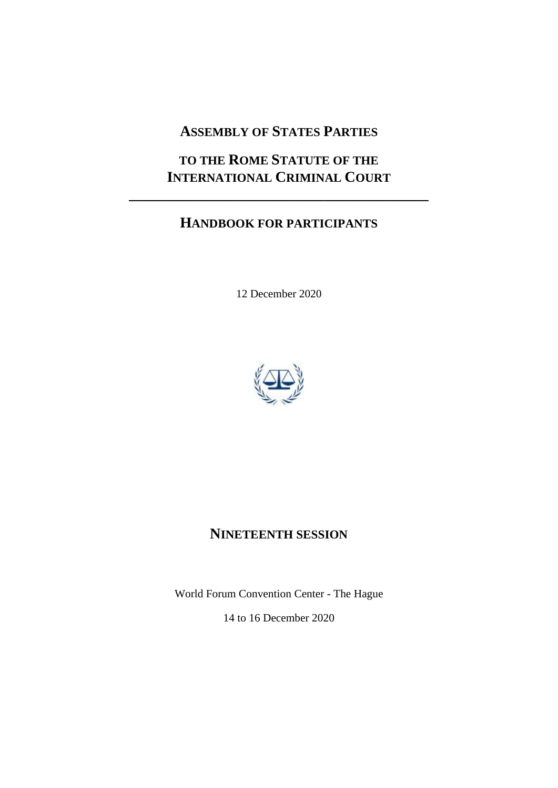# **ASSEMBLY OF STATES PARTIES**

# **TO THE ROME STATUTE OF THE INTERNATIONAL CRIMINAL COURT**

**\_\_\_\_\_\_\_\_\_\_\_\_\_\_\_\_\_\_\_\_\_\_\_\_\_\_\_\_\_\_\_\_\_\_\_\_\_\_\_\_**

# **HANDBOOK FOR PARTICIPANTS**

12 December 2020



# **NINETEENTH SESSION**

World Forum Convention Center - The Hague 14 to 16 December 2020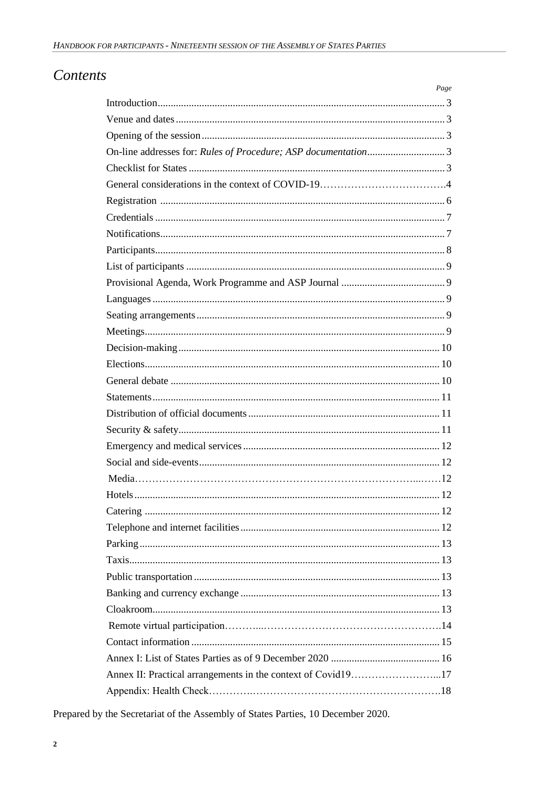# Contents

|                                                              | Page |
|--------------------------------------------------------------|------|
|                                                              |      |
|                                                              |      |
|                                                              |      |
|                                                              |      |
|                                                              |      |
|                                                              |      |
|                                                              |      |
|                                                              |      |
|                                                              |      |
|                                                              |      |
|                                                              |      |
|                                                              |      |
|                                                              |      |
|                                                              |      |
|                                                              |      |
|                                                              |      |
|                                                              |      |
|                                                              |      |
|                                                              |      |
|                                                              |      |
|                                                              |      |
|                                                              |      |
|                                                              |      |
|                                                              |      |
|                                                              |      |
|                                                              |      |
|                                                              |      |
|                                                              |      |
|                                                              |      |
|                                                              |      |
|                                                              |      |
|                                                              |      |
|                                                              |      |
|                                                              |      |
|                                                              |      |
| Annex II: Practical arrangements in the context of Covid1917 |      |
|                                                              |      |

Prepared by the Secretariat of the Assembly of States Parties, 10 December 2020.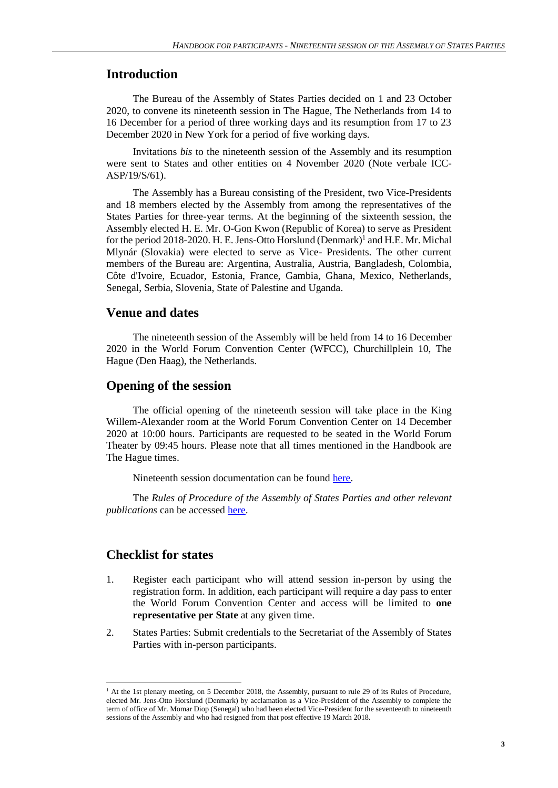# **Introduction**

The Bureau of the Assembly of States Parties decided on 1 and 23 October 2020, to convene its nineteenth session in The Hague, The Netherlands from 14 to 16 December for a period of three working days and its resumption from 17 to 23 December 2020 in New York for a period of five working days.

Invitations *bis* to the nineteenth session of the Assembly and its resumption were sent to States and other entities on 4 November 2020 (Note verbale ICC-ASP/19/S/61).

The Assembly has a Bureau consisting of the President, two Vice-Presidents and 18 members elected by the Assembly from among the representatives of the States Parties for three-year terms. At the beginning of the sixteenth session, the Assembly elected H. E. Mr. O-Gon Kwon (Republic of Korea) to serve as President for the period 2018-2020. H. E. Jens-Otto Horslund (Denmark)<sup>1</sup> and H.E. Mr. Michal Mlynár (Slovakia) were elected to serve as Vice- Presidents. The other current members of the Bureau are: Argentina, Australia, Austria, Bangladesh, Colombia, Côte d'Ivoire, Ecuador, Estonia, France, Gambia, Ghana, Mexico, Netherlands, Senegal, Serbia, Slovenia, State of Palestine and Uganda.

### **Venue and dates**

The nineteenth session of the Assembly will be held from 14 to 16 December 2020 in the World Forum Convention Center (WFCC), Churchillplein 10, The Hague (Den Haag), the Netherlands.

#### **Opening of the session**

The official opening of the nineteenth session will take place in the King Willem-Alexander room at the World Forum Convention Center on 14 December 2020 at 10:00 hours. Participants are requested to be seated in the World Forum Theater by 09:45 hours. Please note that all times mentioned in the Handbook are The Hague times.

Nineteenth session documentation can be found [here.](https://asp.icc-cpi.int/en_menus/asp/sessions/documentation/19th%20session/Pages/default.aspx)

The *Rules of Procedure of the Assembly of States Parties and other relevant publications* can be accessed [here.](https://asp.icc-cpi.int/en_menus/asp/publications/Pages/asp%20publications.aspx)

#### **Checklist for states**

- 1. Register each participant who will attend session in-person by using the registration form. In addition, each participant will require a day pass to enter the World Forum Convention Center and access will be limited to **one representative per State** at any given time.
- 2. States Parties: Submit credentials to the Secretariat of the Assembly of States Parties with in-person participants.

<sup>&</sup>lt;sup>1</sup> At the 1st plenary meeting, on 5 December 2018, the Assembly, pursuant to rule 29 of its Rules of Procedure, elected Mr. Jens-Otto Horslund (Denmark) by acclamation as a Vice-President of the Assembly to complete the term of office of Mr. Momar Diop (Senegal) who had been elected Vice-President for the seventeenth to nineteenth sessions of the Assembly and who had resigned from that post effective 19 March 2018.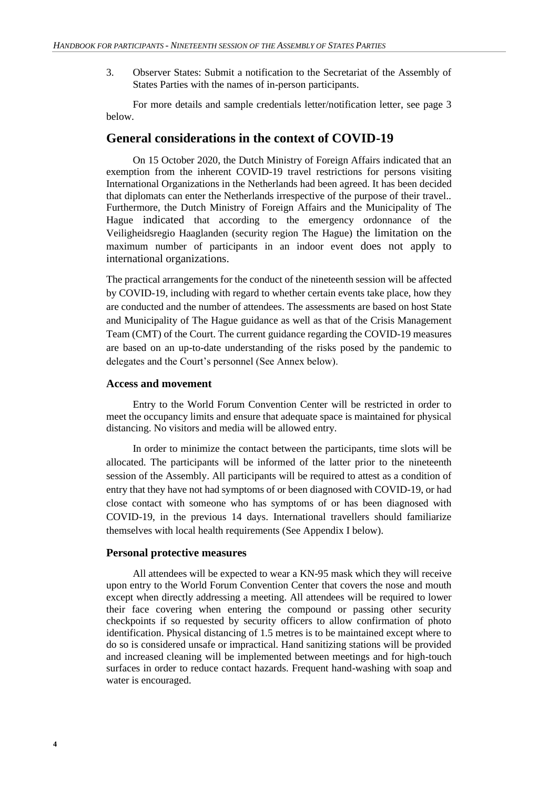3. Observer States: Submit a notification to the Secretariat of the Assembly of States Parties with the names of in-person participants.

For more details and sample credentials letter/notification letter, see page 3 below.

# **General considerations in the context of COVID-19**

On 15 October 2020, the Dutch Ministry of Foreign Affairs indicated that an exemption from the inherent COVID-19 travel restrictions for persons visiting International Organizations in the Netherlands had been agreed. It has been decided that diplomats can enter the Netherlands irrespective of the purpose of their travel.. Furthermore, the Dutch Ministry of Foreign Affairs and the Municipality of The Hague indicated that according to the emergency ordonnance of the Veiligheidsregio Haaglanden (security region The Hague) the limitation on the maximum number of participants in an indoor event does not apply to international organizations.

The practical arrangements for the conduct of the nineteenth session will be affected by COVID-19, including with regard to whether certain events take place, how they are conducted and the number of attendees. The assessments are based on host State and Municipality of The Hague guidance as well as that of the Crisis Management Team (CMT) of the Court. The current guidance regarding the COVID-19 measures are based on an up-to-date understanding of the risks posed by the pandemic to delegates and the Court's personnel (See Annex below).

#### **Access and movement**

Entry to the World Forum Convention Center will be restricted in order to meet the occupancy limits and ensure that adequate space is maintained for physical distancing. No visitors and media will be allowed entry.

In order to minimize the contact between the participants, time slots will be allocated. The participants will be informed of the latter prior to the nineteenth session of the Assembly. All participants will be required to attest as a condition of entry that they have not had symptoms of or been diagnosed with COVID-19, or had close contact with someone who has symptoms of or has been diagnosed with COVID-19, in the previous 14 days. International travellers should familiarize themselves with local health requirements (See Appendix I below).

#### **Personal protective measures**

All attendees will be expected to wear a KN-95 mask which they will receive upon entry to the World Forum Convention Center that covers the nose and mouth except when directly addressing a meeting. All attendees will be required to lower their face covering when entering the compound or passing other security checkpoints if so requested by security officers to allow confirmation of photo identification. Physical distancing of 1.5 metres is to be maintained except where to do so is considered unsafe or impractical. Hand sanitizing stations will be provided and increased cleaning will be implemented between meetings and for high-touch surfaces in order to reduce contact hazards. Frequent hand-washing with soap and water is encouraged.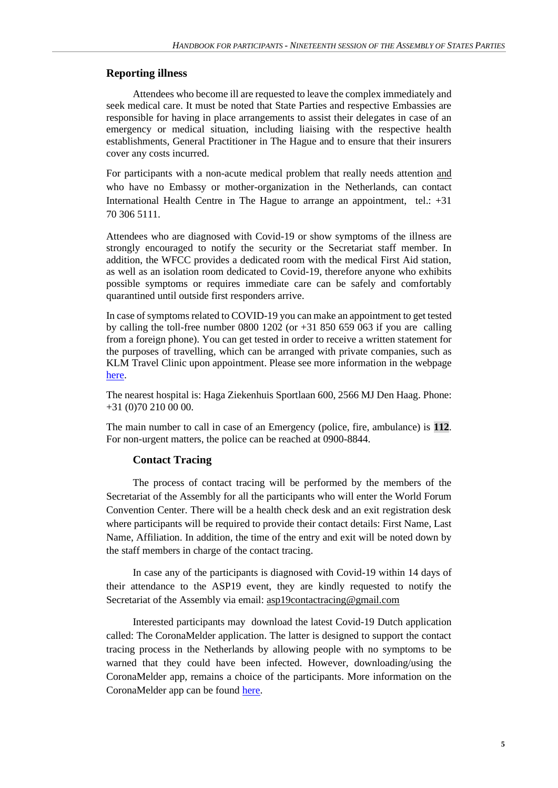#### **Reporting illness**

Attendees who become ill are requested to leave the complex immediately and seek medical care. It must be noted that State Parties and respective Embassies are responsible for having in place arrangements to assist their delegates in case of an emergency or medical situation, including liaising with the respective health establishments, General Practitioner in The Hague and to ensure that their insurers cover any costs incurred.

For participants with a non-acute medical problem that really needs attention and who have no Embassy or mother-organization in the Netherlands, can contact International Health Centre in The Hague to arrange an appointment, tel.: +31 70 306 5111.

Attendees who are diagnosed with Covid-19 or show symptoms of the illness are strongly encouraged to notify the security or the Secretariat staff member. In addition, the WFCC provides a dedicated room with the medical First Aid station, as well as an isolation room dedicated to Covid-19, therefore anyone who exhibits possible symptoms or requires immediate care can be safely and comfortably quarantined until outside first responders arrive.

In case of symptoms related to COVID-19 you can make an appointment to get tested by calling the toll-free number 0800 1202 (or  $+31\,850\,659\,063$  if you are calling from a foreign phone). You can get tested in order to receive a written statement for the purposes of travelling, which can be arranged with private companies, such as KLM Travel Clinic upon appointment. Please see more information in the webpage [here.](https://klmhealthservices.com/en/journey-preparation/coronatest/)

The nearest hospital is: Haga Ziekenhuis Sportlaan 600, 2566 MJ Den Haag. Phone: +31 (0)70 210 00 00.

The main number to call in case of an Emergency (police, fire, ambulance) is **112**. For non-urgent matters, the police can be reached at 0900-8844.

#### **Contact Tracing**

The process of contact tracing will be performed by the members of the Secretariat of the Assembly for all the participants who will enter the World Forum Convention Center. There will be a health check desk and an exit registration desk where participants will be required to provide their contact details: First Name, Last Name, Affiliation. In addition, the time of the entry and exit will be noted down by the staff members in charge of the contact tracing.

In case any of the participants is diagnosed with Covid-19 within 14 days of their attendance to the ASP19 event, they are kindly requested to notify the Secretariat of the Assembly via email: [asp19contactracing@gmail.com](mailto:asp19contactracing@gmail.com)

Interested participants may download the latest Covid-19 Dutch application called: The CoronaMelder application. The latter is designed to support the contact tracing process in the Netherlands by allowing people with no symptoms to be warned that they could have been infected. However, downloading/using the CoronaMelder app, remains a choice of the participants. More information on the CoronaMelder app can be found [here.](https://www.coronamelder.nl/en)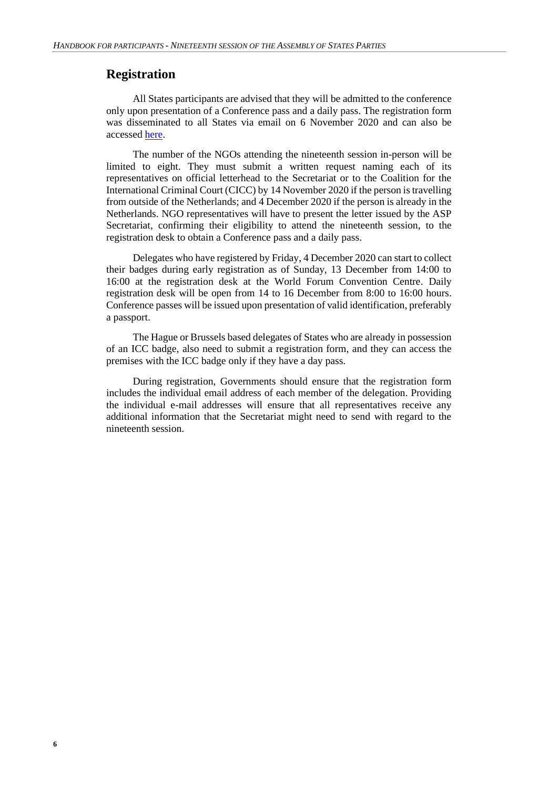# **Registration**

All States participants are advised that they will be admitted to the conference only upon presentation of a Conference pass and a daily pass. The registration form was disseminated to all States via email on 6 November 2020 and can also be accesse[d here.](https://asp.icc-cpi.int/en_menus/asp/sessions/documentation/19th%20session/Pages/default.aspx)

The number of the NGOs attending the nineteenth session in-person will be limited to eight. They must submit a written request naming each of its representatives on official letterhead to the Secretariat or to the Coalition for the International Criminal Court (CICC) by 14 November 2020 if the person is travelling from outside of the Netherlands; and 4 December 2020 if the person is already in the Netherlands. NGO representatives will have to present the letter issued by the ASP Secretariat, confirming their eligibility to attend the nineteenth session, to the registration desk to obtain a Conference pass and a daily pass.

Delegates who have registered by Friday, 4 December 2020 can start to collect their badges during early registration as of Sunday, 13 December from 14:00 to 16:00 at the registration desk at the World Forum Convention Centre. Daily registration desk will be open from 14 to 16 December from 8:00 to 16:00 hours. Conference passes will be issued upon presentation of valid identification, preferably a passport.

The Hague or Brussels based delegates of States who are already in possession of an ICC badge, also need to submit a registration form, and they can access the premises with the ICC badge only if they have a day pass.

During registration, Governments should ensure that the registration form includes the individual email address of each member of the delegation. Providing the individual e-mail addresses will ensure that all representatives receive any additional information that the Secretariat might need to send with regard to the nineteenth session.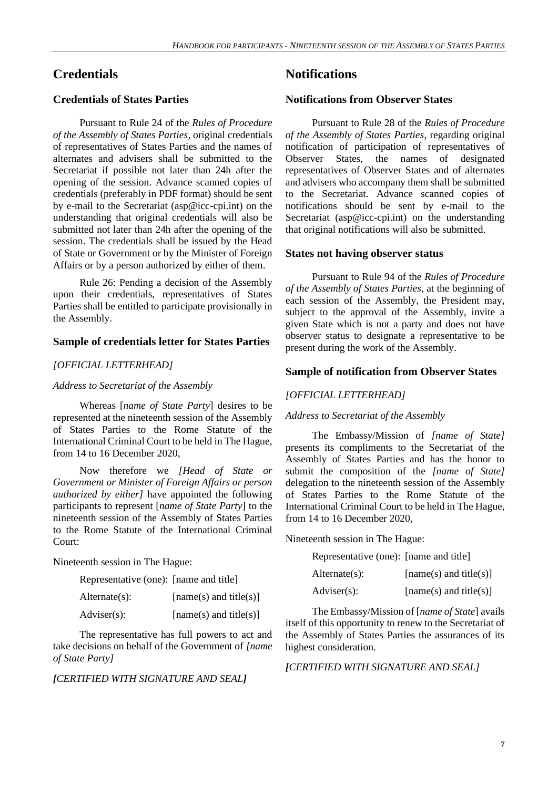# **Credentials**

### **Credentials of States Parties**

Pursuant to Rule 24 of the *Rules of Procedure of the Assembly of States Parties*, original credentials of representatives of States Parties and the names of alternates and advisers shall be submitted to the Secretariat if possible not later than 24h after the opening of the session. Advance scanned copies of credentials (preferably in PDF format) should be sent by e-mail to the Secretariat (asp@icc-cpi.int) on the understanding that original credentials will also be submitted not later than 24h after the opening of the session. The credentials shall be issued by the Head of State or Government or by the Minister of Foreign Affairs or by a person authorized by either of them.

Rule 26: Pending a decision of the Assembly upon their credentials, representatives of States Parties shall be entitled to participate provisionally in the Assembly.

#### **Sample of credentials letter for States Parties**

#### *[OFFICIAL LETTERHEAD]*

#### *Address to Secretariat of the Assembly*

Whereas [*name of State Party*] desires to be represented at the nineteenth session of the Assembly of States Parties to the Rome Statute of the International Criminal Court to be held in The Hague, from 14 to 16 December 2020,

Now therefore we *[Head of State or Government or Minister of Foreign Affairs or person authorized by either]* have appointed the following participants to represent [*name of State Party*] to the nineteenth session of the Assembly of States Parties to the Rome Statute of the International Criminal Court:

Nineteenth session in The Hague:

| Representative (one): [name and title] |  |  |  |
|----------------------------------------|--|--|--|
|----------------------------------------|--|--|--|

| $Alternate(s)$ :      | [name(s) and title(s)] |
|-----------------------|------------------------|
| $\text{Adviser}(s)$ : | [name(s) and title(s)] |

The representative has full powers to act and take decisions on behalf of the Government of *[name of State Party]*

#### *[CERTIFIED WITH SIGNATURE AND SEAL]*

# **Notifications**

#### **Notifications from Observer States**

Pursuant to Rule 28 of the *Rules of Procedure of the Assembly of States Parties*, regarding original notification of participation of representatives of Observer States, the names of designated representatives of Observer States and of alternates and advisers who accompany them shall be submitted to the Secretariat. Advance scanned copies of notifications should be sent by e-mail to the Secretariat (asp@icc-cpi.int) on the understanding that original notifications will also be submitted.

#### **States not having observer status**

Pursuant to Rule 94 of the *Rules of Procedure of the Assembly of States Parties*, at the beginning of each session of the Assembly, the President may, subject to the approval of the Assembly, invite a given State which is not a party and does not have observer status to designate a representative to be present during the work of the Assembly.

#### **Sample of notification from Observer States**

#### *[OFFICIAL LETTERHEAD]*

#### *Address to Secretariat of the Assembly*

The Embassy/Mission of *[name of State]* presents its compliments to the Secretariat of the Assembly of States Parties and has the honor to submit the composition of the *[name of State]* delegation to the nineteenth session of the Assembly of States Parties to the Rome Statute of the International Criminal Court to be held in The Hague, from 14 to 16 December 2020,

Nineteenth session in The Hague:

| Representative (one): [name and title] |                          |
|----------------------------------------|--------------------------|
| $Alternate(s)$ :                       | $[name(s)$ and title(s)] |
| $\text{Adviser}(s)$ :                  | $[name(s)$ and title(s)] |

The Embassy/Mission of [*name of State*] avails itself of this opportunity to renew to the Secretariat of the Assembly of States Parties the assurances of its highest consideration.

#### *[CERTIFIED WITH SIGNATURE AND SEAL]*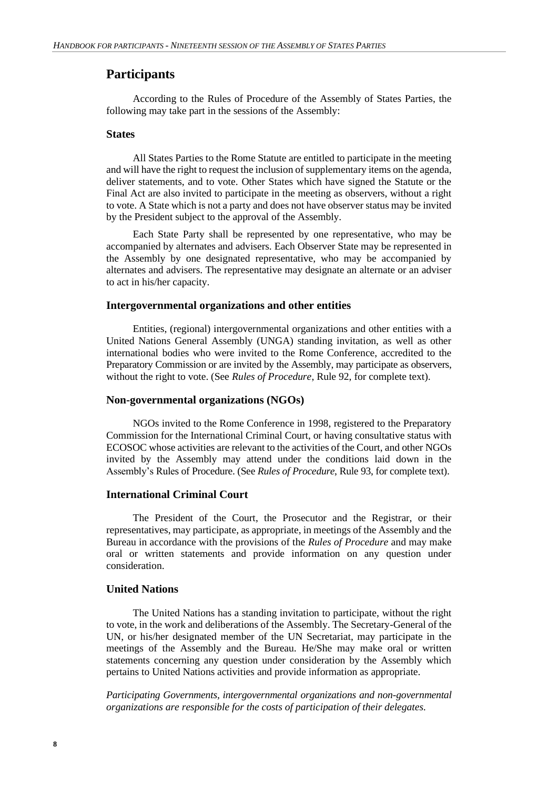## **Participants**

According to the Rules of Procedure of the Assembly of States Parties, the following may take part in the sessions of the Assembly:

#### **States**

All States Parties to the Rome Statute are entitled to participate in the meeting and will have the right to request the inclusion of supplementary items on the agenda, deliver statements, and to vote. Other States which have signed the Statute or the Final Act are also invited to participate in the meeting as observers, without a right to vote. A State which is not a party and does not have observer status may be invited by the President subject to the approval of the Assembly.

Each State Party shall be represented by one representative, who may be accompanied by alternates and advisers. Each Observer State may be represented in the Assembly by one designated representative, who may be accompanied by alternates and advisers. The representative may designate an alternate or an adviser to act in his/her capacity.

#### **Intergovernmental organizations and other entities**

Entities, (regional) intergovernmental organizations and other entities with a United Nations General Assembly (UNGA) standing invitation, as well as other international bodies who were invited to the Rome Conference, accredited to the Preparatory Commission or are invited by the Assembly, may participate as observers, without the right to vote. (See *Rules of Procedure*, Rule 92, for complete text).

#### **Non-governmental organizations (NGOs)**

NGOs invited to the Rome Conference in 1998, registered to the Preparatory Commission for the International Criminal Court, or having consultative status with ECOSOC whose activities are relevant to the activities of the Court, and other NGOs invited by the Assembly may attend under the conditions laid down in the Assembly's Rules of Procedure. (See *Rules of Procedure*, Rule 93, for complete text).

#### **International Criminal Court**

The President of the Court, the Prosecutor and the Registrar, or their representatives, may participate, as appropriate, in meetings of the Assembly and the Bureau in accordance with the provisions of the *Rules of Procedure* and may make oral or written statements and provide information on any question under consideration.

# **United Nations**

The United Nations has a standing invitation to participate, without the right to vote, in the work and deliberations of the Assembly. The Secretary-General of the UN, or his/her designated member of the UN Secretariat, may participate in the meetings of the Assembly and the Bureau. He/She may make oral or written statements concerning any question under consideration by the Assembly which pertains to United Nations activities and provide information as appropriate.

*Participating Governments, intergovernmental organizations and non-governmental organizations are responsible for the costs of participation of their delegates.*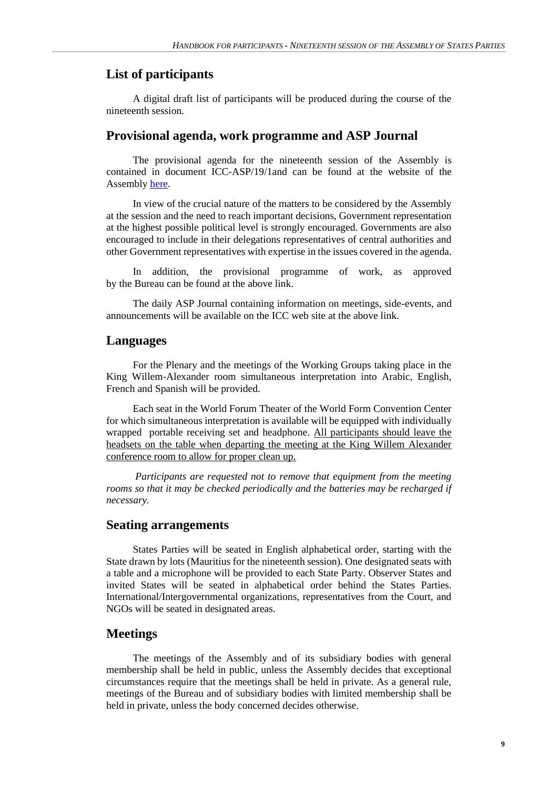# **List of participants**

A digital draft list of participants will be produced during the course of the nineteenth session.

### **Provisional agenda, work programme and ASP Journal**

The provisional agenda for the nineteenth session of the Assembly is contained in document ICC-ASP/19/1and can be found at the website of the Assembly [here.](https://asp.icc-cpi.int/en_menus/asp/sessions/documentation/19th%20session/Pages/default.aspx)

In view of the crucial nature of the matters to be considered by the Assembly at the session and the need to reach important decisions, Government representation at the highest possible political level is strongly encouraged. Governments are also encouraged to include in their delegations representatives of central authorities and other Government representatives with expertise in the issues covered in the agenda.

In addition, the provisional programme of work, as approved by the Bureau can be found at the above link.

The daily ASP Journal containing information on meetings, side-events, and announcements will be available on the ICC web site at the above link.

#### **Languages**

For the Plenary and the meetings of the Working Groups taking place in the King Willem-Alexander room simultaneous interpretation into Arabic, English, French and Spanish will be provided.

Each seat in the World Forum Theater of the World Form Convention Center for which simultaneous interpretation is available will be equipped with individually wrapped portable receiving set and headphone. All participants should leave the headsets on the table when departing the meeting at the King Willem Alexander conference room to allow for proper clean up.

*Participants are requested not to remove that equipment from the meeting*  rooms so that it may be checked periodically and the batteries may be recharged if *necessary.*

# **Seating arrangements**

States Parties will be seated in English alphabetical order, starting with the State drawn by lots (Mauritius for the nineteenth session). One designated seats with a table and a microphone will be provided to each State Party. Observer States and invited States will be seated in alphabetical order behind the States Parties. International/Intergovernmental organizations, representatives from the Court, and NGOs will be seated in designated areas.

# **Meetings**

The meetings of the Assembly and of its subsidiary bodies with general membership shall be held in public, unless the Assembly decides that exceptional circumstances require that the meetings shall be held in private. As a general rule, meetings of the Bureau and of subsidiary bodies with limited membership shall be held in private, unless the body concerned decides otherwise.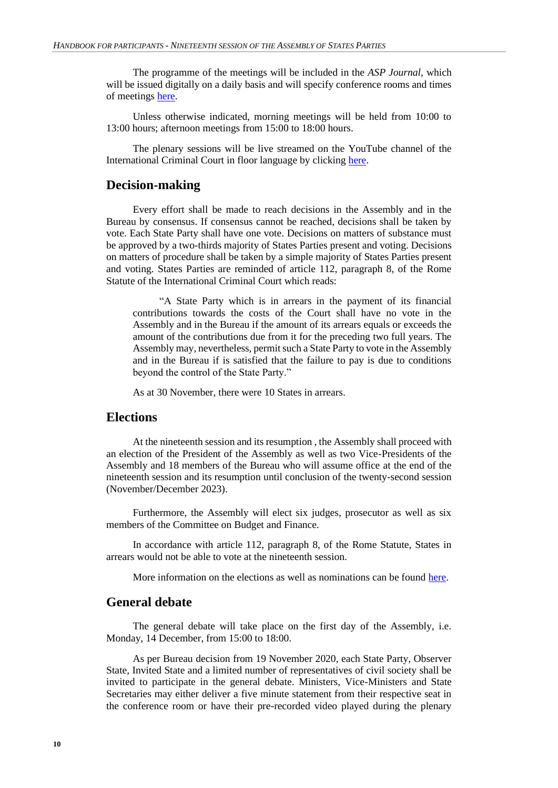The programme of the meetings will be included in the *ASP Journal*, which will be issued digitally on a daily basis and will specify conference rooms and times of meetings [here.](https://asp.icc-cpi.int/en_menus/asp/sessions/documentation/19th%20session/Pages/default.aspx)

Unless otherwise indicated, morning meetings will be held from 10:00 to 13:00 hours; afternoon meetings from 15:00 to 18:00 hours.

The plenary sessions will be live streamed on the YouTube channel of the International Criminal Court in floor language by clicking [here.](https://www.youtube.com/user/IntlCriminalCourt)

## **Decision-making**

Every effort shall be made to reach decisions in the Assembly and in the Bureau by consensus. If consensus cannot be reached, decisions shall be taken by vote. Each State Party shall have one vote. Decisions on matters of substance must be approved by a two-thirds majority of States Parties present and voting. Decisions on matters of procedure shall be taken by a simple majority of States Parties present and voting. States Parties are reminded of article 112, paragraph 8, of the Rome Statute of the International Criminal Court which reads:

"A State Party which is in arrears in the payment of its financial contributions towards the costs of the Court shall have no vote in the Assembly and in the Bureau if the amount of its arrears equals or exceeds the amount of the contributions due from it for the preceding two full years. The Assembly may, nevertheless, permit such a State Party to vote in the Assembly and in the Bureau if is satisfied that the failure to pay is due to conditions beyond the control of the State Party."

As at 30 November, there were 10 States in arrears.

# **Elections**

At the nineteenth session and its resumption , the Assembly shall proceed with an election of the President of the Assembly as well as two Vice-Presidents of the Assembly and 18 members of the Bureau who will assume office at the end of the nineteenth session and its resumption until conclusion of the twenty-second session (November/December 2023).

Furthermore, the Assembly will elect six judges, prosecutor as well as six members of the Committee on Budget and Finance*.*

In accordance with article 112, paragraph 8, of the Rome Statute, States in arrears would not be able to vote at the nineteenth session.

More information on the elections as well as nominations can be found [here.](https://asp.icc-cpi.int/en_menus/asp/elections/Pages/Election2020.aspx)

#### **General debate**

The general debate will take place on the first day of the Assembly, i.e. Monday, 14 December, from 15:00 to 18:00.

As per Bureau decision from 19 November 2020, each State Party, Observer State, Invited State and a limited number of representatives of civil society shall be invited to participate in the general debate. Ministers, Vice-Ministers and State Secretaries may either deliver a five minute statement from their respective seat in the conference room or have their pre-recorded video played during the plenary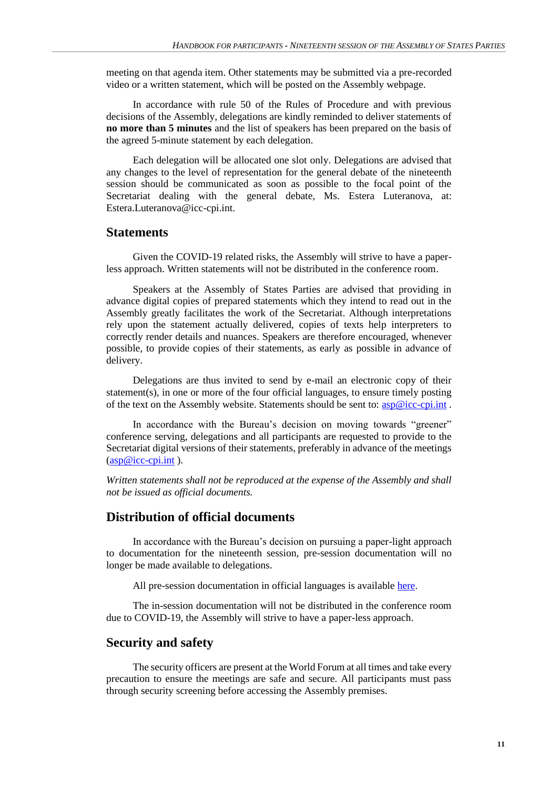meeting on that agenda item. Other statements may be submitted via a pre-recorded video or a written statement, which will be posted on the Assembly webpage.

In accordance with rule 50 of the Rules of Procedure and with previous decisions of the Assembly, delegations are kindly reminded to deliver statements of **no more than 5 minutes** and the list of speakers has been prepared on the basis of the agreed 5-minute statement by each delegation.

Each delegation will be allocated one slot only. Delegations are advised that any changes to the level of representation for the general debate of the nineteenth session should be communicated as soon as possible to the focal point of the Secretariat dealing with the general debate, Ms. Estera Luteranova, at: [Estera.Luteranova@icc-cpi.int.](mailto:Estera.Luteranova@icc-cpi.int)

#### **Statements**

Given the COVID-19 related risks, the Assembly will strive to have a paperless approach. Written statements will not be distributed in the conference room.

Speakers at the Assembly of States Parties are advised that providing in advance digital copies of prepared statements which they intend to read out in the Assembly greatly facilitates the work of the Secretariat. Although interpretations rely upon the statement actually delivered, copies of texts help interpreters to correctly render details and nuances. Speakers are therefore encouraged, whenever possible, to provide copies of their statements, as early as possible in advance of delivery.

Delegations are thus invited to send by e-mail an electronic copy of their statement(s), in one or more of the four official languages, to ensure timely posting of the text on the Assembly website. Statements should be sent to:  $\exp @$  icc-cpi.int.

In accordance with the Bureau's decision on moving towards "greener" conference serving, delegations and all participants are requested to provide to the Secretariat digital versions of their statements, preferably in advance of the meetings  $(\underline{asp@}$ icc-cpi.int.).

*Written statements shall not be reproduced at the expense of the Assembly and shall not be issued as official documents.*

# **Distribution of official documents**

In accordance with the Bureau's decision on pursuing a paper-light approach to documentation for the nineteenth session, pre-session documentation will no longer be made available to delegations.

All pre-session documentation in official languages is available [here.](https://asp.icc-cpi.int/en_menus/asp/sessions/documentation/19th%20session/Pages/default.aspx)

The in-session documentation will not be distributed in the conference room due to COVID-19, the Assembly will strive to have a paper-less approach.

#### **Security and safety**

The security officers are present at the World Forum at all times and take every precaution to ensure the meetings are safe and secure. All participants must pass through security screening before accessing the Assembly premises.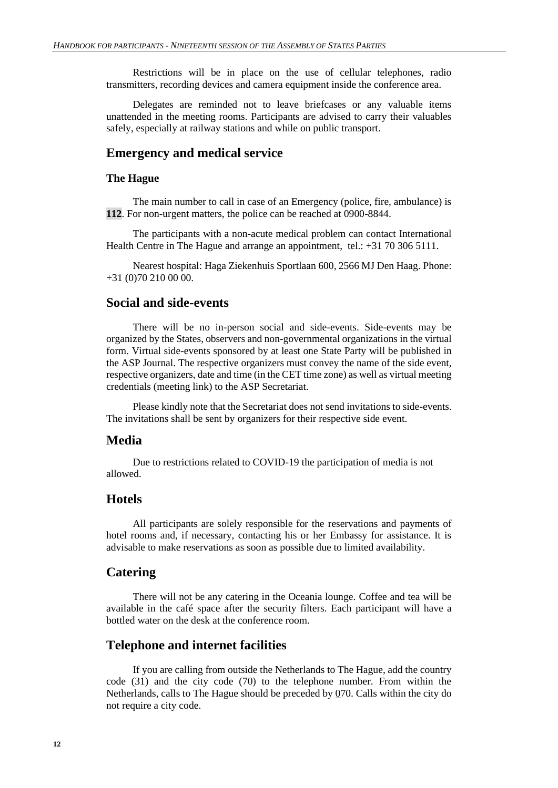Restrictions will be in place on the use of cellular telephones, radio transmitters, recording devices and camera equipment inside the conference area.

Delegates are reminded not to leave briefcases or any valuable items unattended in the meeting rooms. Participants are advised to carry their valuables safely, especially at railway stations and while on public transport.

### **Emergency and medical service**

#### **The Hague**

The main number to call in case of an Emergency (police, fire, ambulance) is **112**. For non-urgent matters, the police can be reached at 0900-8844.

The participants with a non-acute medical problem can contact International Health Centre in The Hague and arrange an appointment, tel.: +31 70 306 5111.

Nearest hospital: Haga Ziekenhuis Sportlaan 600, 2566 MJ Den Haag. Phone: +31 (0)70 210 00 00.

# **Social and side-events**

There will be no in-person social and side-events. Side-events may be organized by the States, observers and non-governmental organizations in the virtual form. Virtual side-events sponsored by at least one State Party will be published in the ASP Journal. The respective organizers must convey the name of the side event, respective organizers, date and time (in the CET time zone) as well as virtual meeting credentials (meeting link) to the ASP Secretariat.

Please kindly note that the Secretariat does not send invitations to side-events. The invitations shall be sent by organizers for their respective side event.

### **Media**

Due to restrictions related to COVID-19 the participation of media is not allowed.

# **Hotels**

All participants are solely responsible for the reservations and payments of hotel rooms and, if necessary, contacting his or her Embassy for assistance. It is advisable to make reservations as soon as possible due to limited availability.

## **Catering**

There will not be any catering in the Oceania lounge. Coffee and tea will be available in the café space after the security filters. Each participant will have a bottled water on the desk at the conference room.

## **Telephone and internet facilities**

If you are calling from outside the Netherlands to The Hague, add the country code (31) and the city code (70) to the telephone number. From within the Netherlands, calls to The Hague should be preceded by 070. Calls within the city do not require a city code.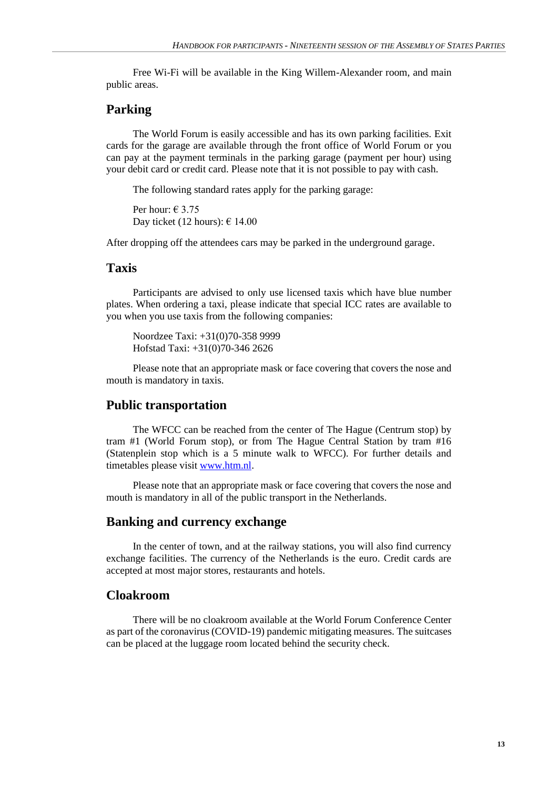Free Wi-Fi will be available in the King Willem-Alexander room, and main public areas.

## **Parking**

The World Forum is easily accessible and has its own parking facilities. Exit cards for the garage are available through the front office of World Forum or you can pay at the payment terminals in the parking garage (payment per hour) using your debit card or credit card. Please note that it is not possible to pay with cash.

The following standard rates apply for the parking garage:

Per hour:  $\in$  3.75 Day ticket (12 hours):  $\epsilon$  14.00

After dropping off the attendees cars may be parked in the underground garage.

#### **Taxis**

Participants are advised to only use licensed taxis which have blue number plates. When ordering a taxi, please indicate that special ICC rates are available to you when you use taxis from the following companies:

Noordzee Taxi: +31(0)70-358 9999 Hofstad Taxi: +31(0)70-346 2626

Please note that an appropriate mask or face covering that covers the nose and mouth is mandatory in taxis.

## **Public transportation**

The WFCC can be reached from the center of The Hague (Centrum stop) by tram #1 (World Forum stop), or from The Hague Central Station by tram #16 (Statenplein stop which is a 5 minute walk to WFCC). For further details and timetables please visit [www.htm.nl.](http://www.htm.nl/)

Please note that an appropriate mask or face covering that covers the nose and mouth is mandatory in all of the public transport in the Netherlands.

#### **Banking and currency exchange**

In the center of town, and at the railway stations, you will also find currency exchange facilities. The currency of the Netherlands is the euro. Credit cards are accepted at most major stores, restaurants and hotels.

# **Cloakroom**

There will be no cloakroom available at the World Forum Conference Center as part of the coronavirus (COVID-19) pandemic mitigating measures. The suitcases can be placed at the luggage room located behind the security check.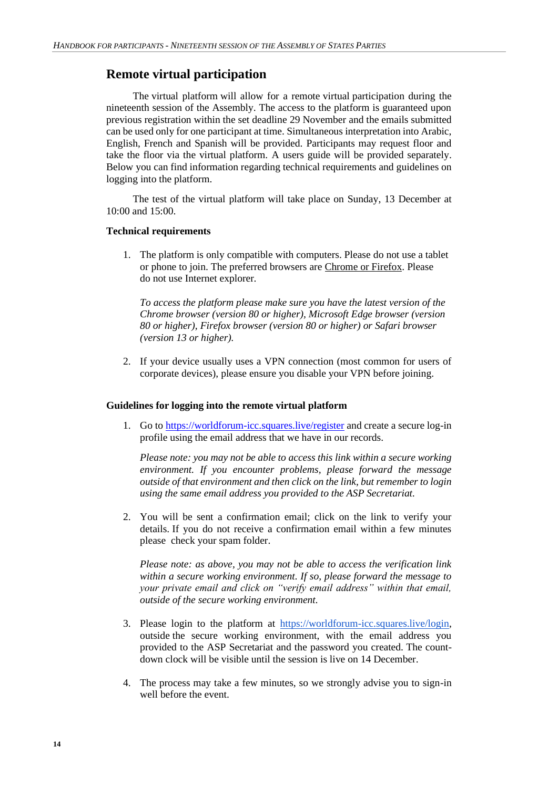# **Remote virtual participation**

The virtual platform will allow for a remote virtual participation during the nineteenth session of the Assembly. The access to the platform is guaranteed upon previous registration within the set deadline 29 November and the emails submitted can be used only for one participant at time. Simultaneous interpretation into Arabic, English, French and Spanish will be provided. Participants may request floor and take the floor via the virtual platform. A users guide will be provided separately. Below you can find information regarding technical requirements and guidelines on logging into the platform.

The test of the virtual platform will take place on Sunday, 13 December at 10:00 and 15:00.

#### **Technical requirements**

1. The platform is only compatible with computers. Please do not use a tablet or phone to join. The preferred browsers are Chrome or Firefox. Please do not use Internet explorer.

*To access the platform please make sure you have the latest version of the Chrome browser (version 80 or higher), Microsoft Edge browser (version 80 or higher), Firefox browser (version 80 or higher) or Safari browser (version 13 or higher).* 

2. If your device usually uses a VPN connection (most common for users of corporate devices), please ensure you disable your VPN before joining.

#### **Guidelines for logging into the remote virtual platform**

1. Go to <https://worldforum-icc.squares.live/register> and create a secure log-in profile using the email address that we have in our records.

*Please note: you may not be able to access this link within a secure working environment. If you encounter problems, please forward the message outside of that environment and then click on the link, but remember to login using the same email address you provided to the ASP Secretariat.*

2. You will be sent a confirmation email; click on the link to verify your details. If you do not receive a confirmation email within a few minutes please check your spam folder.

*Please note: as above, you may not be able to access the verification link within a secure working environment. If so, please forward the message to your private email and click on "verify email address" within that email, outside of the secure working environment.*

- 3. Please login to the platform at [https://worldforum-icc.squares.live/login,](https://m365.eu.vadesecure.com/safeproxy/v4?f=D2nNvS9gII5Fw8-5QVXNbFxBzLIzPprsucMTYQnVCt69hQsDytiSZVNdRzvEHq91&i=wzfqIy0zsgxzdwaHmCJ5EZMyQl2rNNFIqRWu32ZuLQeDGURGK_nQDbxUGbUefIh40vILS2qS3Ftn-dxEEn-5zA&k=1qjX&r=caoCrtj4dfQpy-vqaq30q4fYzpWg3Aj8wh0fK_BuWjuuW2jg8L9AklfzNp1mb5G9&s=241e66b18586faf46372469053dec9cf6d19010fb56679a184c3b78dda51c498&u=https%3A%2F%2Fworldforum-icc.squares.live%2Flogin) outside the secure working environment, with the email address you provided to the ASP Secretariat and the password you created. The countdown clock will be visible until the session is live on 14 December.
- 4. The process may take a few minutes, so we strongly advise you to sign-in well before the event.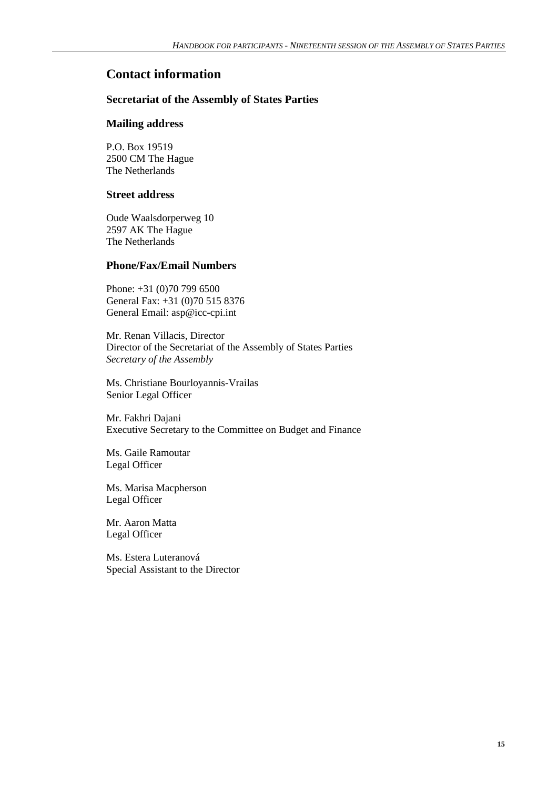# **Contact information**

## **Secretariat of the Assembly of States Parties**

### **Mailing address**

P.O. Box 19519 2500 CM The Hague The Netherlands

#### **Street address**

Oude Waalsdorperweg 10 2597 AK The Hague The Netherlands

## **Phone/Fax/Email Numbers**

Phone: +31 (0)70 799 6500 General Fax: +31 (0)70 515 8376 General Email: asp@icc-cpi.int

Mr. Renan Villacis, Director Director of the Secretariat of the Assembly of States Parties *Secretary of the Assembly*

Ms. Christiane Bourloyannis-Vrailas Senior Legal Officer

Mr. Fakhri Dajani Executive Secretary to the Committee on Budget and Finance

Ms. Gaile Ramoutar Legal Officer

Ms. Marisa Macpherson Legal Officer

Mr. Aaron Matta Legal Officer

Ms. Estera Luteranová Special Assistant to the Director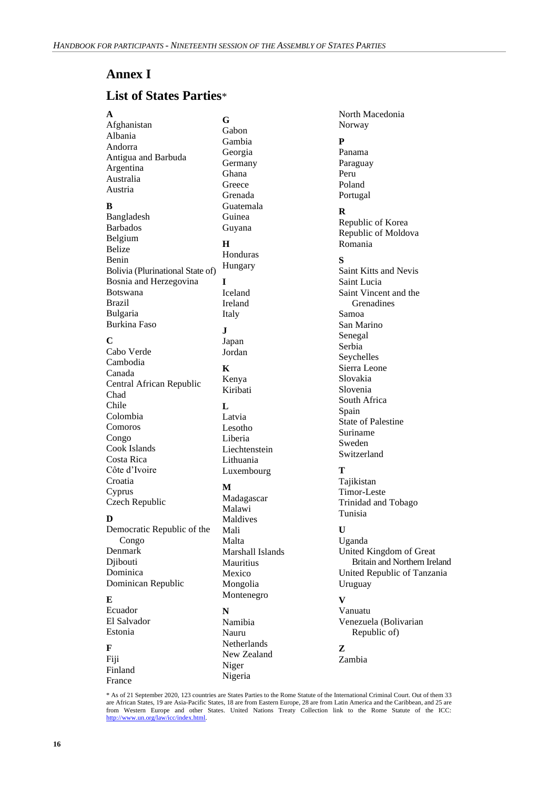# **Annex I**

# **List of States Parties**\*

[Afghanistan](http://icc-cpi.int/Menus/ASP/states+parties/Asian+States/Afghanistan.htm) [Albania](http://icc-cpi.int/Menus/ASP/states+parties/Eastern+European+States/Albania.htm) [Andorra](http://icc-cpi.int/Menus/ASP/states+parties/Western+European+and+Other+States/Andorra.htm) [Antigua and Barbuda](http://icc-cpi.int/Menus/ASP/states+parties/Latin+American+and+Caribbean+States/Antigua+and+Barbuda.htm) [Argentina](http://icc-cpi.int/Menus/ASP/states+parties/Latin+American+and+Caribbean+States/Argentina.htm) [Australia](http://icc-cpi.int/Menus/ASP/states+parties/Western+European+and+Other+States/Australia.htm) [Austria](http://icc-cpi.int/Menus/ASP/states+parties/Western+European+and+Other+States/Austria.htm) **B** [Bangladesh](http://icc-cpi.int/Menus/ASP/states+parties/Asian+States/Bangladesh.htm) [Barbados](http://icc-cpi.int/Menus/ASP/states+parties/Latin+American+and+Caribbean+States/Barbados.htm) [Belgium](http://icc-cpi.int/Menus/ASP/states+parties/Western+European+and+Other+States/Belgium.htm) [Belize](http://icc-cpi.int/Menus/ASP/states+parties/Latin+American+and+Caribbean+States/Belize.htm) [Benin](http://icc-cpi.int/Menus/ASP/states+parties/African+States/Benin.htm) [Bolivia](http://icc-cpi.int/Menus/ASP/states+parties/Latin+American+and+Caribbean+States/Bolivia.htm) (Plurinational State of) [Bosnia and Herzegovina](http://icc-cpi.int/Menus/ASP/states+parties/Eastern+European+States/Bosnia+and+Herzegovina.htm) [Botswana](http://icc-cpi.int/Menus/ASP/states+parties/African+States/Botswana.htm) [Brazil](http://icc-cpi.int/Menus/ASP/states+parties/Latin+American+and+Caribbean+States/Brazil.htm) [Bulgaria](http://icc-cpi.int/Menus/ASP/states+parties/Eastern+European+States/Bulgaria.htm) [Burkina Faso](http://icc-cpi.int/Menus/ASP/states+parties/African+States/Burkina+Faso.htm) **C** Cabo [Verde](http://icc-cpi.int/Menus/ASP/states+parties/African+States/Cape+Verde.htm) [Cambodia](http://icc-cpi.int/Menus/ASP/states+parties/Asian+States/Cambodia.htm) [Canada](http://icc-cpi.int/Menus/ASP/states+parties/Western+European+and+Other+States/Canada.htm) [Central African Republic](http://icc-cpi.int/Menus/ASP/states+parties/African+States/Central+African+Republic.htm) [Chad](http://icc-cpi.int/Menus/ASP/states+parties/African+States/Chad.htm) [Chile](http://icc-cpi.int/Menus/ASP/states+parties/Latin+American+and+Caribbean+States/Chile.htm) [Colombia](http://icc-cpi.int/Menus/ASP/states+parties/Latin+American+and+Caribbean+States/Colombia.htm) [Comoros](http://icc-cpi.int/Menus/ASP/states+parties/African+States/Comoros.htm) [Congo](http://icc-cpi.int/Menus/ASP/states+parties/African+States/Congo.htm) [Cook Islands](http://icc-cpi.int/Menus/ASP/states+parties/Asian+States/Cook+Islands.htm) [Costa Rica](http://icc-cpi.int/Menus/ASP/states+parties/Latin+American+and+Caribbean+States/Costa+Rica.htm) Côte d'Ivoire [Croatia](http://icc-cpi.int/Menus/ASP/states+parties/Eastern+European+States/Croatia.htm) [Cyprus](http://icc-cpi.int/Menus/ASP/states+parties/Asian+States/Cyprus.htm) [Czech Republic](http://icc-cpi.int/Menus/ASP/states+parties/Eastern+European+States/Czech_Republic.htm) **D** [Democratic Republic of the](http://icc-cpi.int/Menus/ASP/states+parties/African+States/Democratic+Republic+of+the+Congo.htm)  [Congo](http://icc-cpi.int/Menus/ASP/states+parties/African+States/Democratic+Republic+of+the+Congo.htm) [Denmark](http://icc-cpi.int/Menus/ASP/states+parties/Western+European+and+Other+States/Denmark.htm) **D**iibouti [Dominica](http://icc-cpi.int/Menus/ASP/states+parties/Latin+American+and+Caribbean+States/Dominica.htm) [Dominican Republic](http://icc-cpi.int/Menus/ASP/states+parties/Latin+American+and+Caribbean+States/Dominican+Republic.htm) **E** [Ecuador](http://icc-cpi.int/Menus/ASP/states+parties/Latin+American+and+Caribbean+States/Ecuador.htm) El Salvador [Estonia](http://icc-cpi.int/Menus/ASP/states+parties/Eastern+European+States/Estonia.htm) **F**  Fiji Finland France **G**

[Gabon](http://icc-cpi.int/Menus/ASP/states+parties/African+States/Gabon.htm) [Gambia](http://icc-cpi.int/Menus/ASP/states+parties/African+States/Gambia.htm) [Georgia](http://icc-cpi.int/Menus/ASP/states+parties/Eastern+European+States/Georgia.htm) [Germany](http://icc-cpi.int/Menus/ASP/states+parties/Western+European+and+Other+States/Germany.htm) [Ghana](http://icc-cpi.int/Menus/ASP/states+parties/African+States/Ghana.htm) **[Greece](http://icc-cpi.int/Menus/ASP/states+parties/Western+European+and+Other+States/Greece.htm)** [Grenada](http://icc-cpi.int/Menus/ASP/states+parties/Latin+American+and+Caribbean+States/Grenada.htm) [Guatemala](http://icc-cpi.int/Menus/ASP/states+parties/Latin+American+and+Caribbean+States/Guatemala.htm) [Guinea](http://icc-cpi.int/Menus/ASP/states+parties/African+States/Guinea.htm) [Guyana](http://icc-cpi.int/Menus/ASP/states+parties/Latin+American+and+Caribbean+States/Guyana.htm) **H** [Honduras](http://icc-cpi.int/Menus/ASP/states+parties/Latin+American+and+Caribbean+States/Honduras.htm) [Hungary](http://icc-cpi.int/Menus/ASP/states+parties/Eastern+European+States/Hungary.htm) **I** [Iceland](http://icc-cpi.int/Menus/ASP/states+parties/Western+European+and+Other+States/Iceland.htm) [Ireland](http://icc-cpi.int/Menus/ASP/states+parties/Western+European+and+Other+States/Ireland.htm) [Italy](http://icc-cpi.int/Menus/ASP/states+parties/Western+European+and+Other+States/Italy.htm) **J** [Japan](http://icc-cpi.int/Menus/ASP/states+parties/Asian+States/Japan.htm) [Jordan](http://icc-cpi.int/Menus/ASP/states+parties/Asian+States/Jordan.htm) **K** [Kenya](http://icc-cpi.int/Menus/ASP/states+parties/African+States/Kenya.htm) Kiribati **L** [Latvia](http://icc-cpi.int/Menus/ASP/states+parties/Eastern+European+States/Latvia.htm)

[Lesotho](http://icc-cpi.int/Menus/ASP/states+parties/African+States/Lesotho.htm) [Liberia](http://icc-cpi.int/Menus/ASP/states+parties/African+States/Liberia.htm) [Liechtenstein](http://icc-cpi.int/Menus/ASP/states+parties/Western+European+and+Other+States/Liechtenstein.htm) [Lithuania](http://icc-cpi.int/Menus/ASP/states+parties/Eastern+European+States/Lithuania.htm) [Luxembourg](http://icc-cpi.int/Menus/ASP/states+parties/Western+European+and+Other+States/Luxembourg.htm)

## **M**

[Madagascar](http://icc-cpi.int/Menus/ASP/states+parties/African+States/Madagascar+_African+States_.htm) [Malawi](http://icc-cpi.int/Menus/ASP/states+parties/African+States/Malawi.htm) [Maldives](http://icc-cpi.int/Menus/ASP/states+parties/Asian+States/Maldives.htm) [Mali](http://icc-cpi.int/Menus/ASP/states+parties/African+States/Mali.htm) [Malta](http://icc-cpi.int/Menus/ASP/states+parties/Western+European+and+Other+States/Malta.htm) [Marshall Islands](http://icc-cpi.int/Menus/ASP/states+parties/Asian+States/Marshall+Islands.htm) [Mauritius](http://icc-cpi.int/Menus/ASP/states+parties/African+States/Mauritius.htm) [Mexico](http://icc-cpi.int/Menus/ASP/states+parties/Latin+American+and+Caribbean+States/Mexico.htm) [Mongolia](http://icc-cpi.int/Menus/ASP/states+parties/Asian+States/Mongolia.htm) [Montenegro](http://icc-cpi.int/Menus/ASP/states+parties/Eastern+European+States/Montenegro.htm) **N** Namibia [Nauru](http://icc-cpi.int/Menus/ASP/states+parties/Asian+States/Nauru.htm) [Netherlands](http://icc-cpi.int/Menus/ASP/states+parties/Western+European+and+Other+States/Netherlands.htm) [New Zealand](http://icc-cpi.int/Menus/ASP/states+parties/Western+European+and+Other+States/New+Zealand.htm) Niger Nigeria

[Norway](http://icc-cpi.int/Menus/ASP/states+parties/Western+European+and+Other+States/Norway.htm) **P** [Panama](http://icc-cpi.int/Menus/ASP/states+parties/Latin+American+and+Caribbean+States/Panama.htm) [Paraguay](http://icc-cpi.int/Menus/ASP/states+parties/Latin+American+and+Caribbean+States/Paraguay.htm) [Peru](http://icc-cpi.int/Menus/ASP/states+parties/Latin+American+and+Caribbean+States/Peru.htm) [Poland](http://icc-cpi.int/Menus/ASP/states+parties/Eastern+European+States/Poland.htm)

North Macedonia

**R**

[Portugal](http://icc-cpi.int/Menus/ASP/states+parties/Western+European+and+Other+States/Portugal.htm)

[Republic of Korea](http://icc-cpi.int/Menus/ASP/states+parties/Asian+States/Republic+of+Korea.htm) [Republic of Moldova](http://icc-cpi.int/Menus/ASP/states+parties/Eastern+European+States/Moldova.htm) [Romania](http://icc-cpi.int/Menus/ASP/states+parties/Eastern+European+States/Romania.htm)

#### **S**

[Saint Kitts and Nevis](http://icc-cpi.int/Menus/ASP/states+parties/Latin+American+and+Caribbean+States/Saint+Kitts+and+Nevis.htm) [Saint Lucia](http://icc-cpi.int/Menus/ASP/states+parties/Latin+American+and+Caribbean+States/Saint+Lucia.htm) [Saint Vincent and the](http://icc-cpi.int/Menus/ASP/states+parties/Latin+American+and+Caribbean+States/Saint+Vincent+and+the+Grenadines.htm)  [Grenadines](http://icc-cpi.int/Menus/ASP/states+parties/Latin+American+and+Caribbean+States/Saint+Vincent+and+the+Grenadines.htm) [Samoa](http://icc-cpi.int/Menus/ASP/states+parties/Asian+States/Samoa.htm) [San Marino](http://icc-cpi.int/Menus/ASP/states+parties/Western+European+and+Other+States/San+Marino.htm) [Senegal](http://icc-cpi.int/Menus/ASP/states+parties/African+States/Senegal.htm) [Serbia](http://icc-cpi.int/Menus/ASP/states+parties/Eastern+European+States/Serbia.htm) [Seychelles](http://icc-cpi.int/Menus/ASP/states+parties/African+States/Seychelles.htm) [Sierra Leone](http://icc-cpi.int/Menus/ASP/states+parties/African+States/Sierra+Leone.htm) [Slovakia](http://icc-cpi.int/Menus/ASP/states+parties/Eastern+European+States/Slovakia.htm) [Slovenia](http://icc-cpi.int/Menus/ASP/states+parties/Eastern+European+States/Slovenia.htm) [South Africa](http://icc-cpi.int/Menus/ASP/states+parties/African+States/South+Africa.htm) [Spain](http://icc-cpi.int/Menus/ASP/states+parties/Western+European+and+Other+States/Spain.htm) State of Palestine [Suriname](http://icc-cpi.int/Menus/ASP/states+parties/Latin+American+and+Caribbean+States/Surinam.htm) [Sweden](http://icc-cpi.int/Menus/ASP/states+parties/Western+European+and+Other+States/Sweden.htm) [Switzerland](http://icc-cpi.int/Menus/ASP/states+parties/Western+European+and+Other+States/Switzerland.htm)

## **T**

[Tajikistan](http://icc-cpi.int/Menus/ASP/states+parties/Asian+States/Tajikistan.htm) [Timor-Leste](http://icc-cpi.int/Menus/ASP/states+parties/Asian+States/Timor+Leste.htm) [Trinidad and Tobago](http://icc-cpi.int/Menus/ASP/states+parties/Latin+American+and+Caribbean+States/Trinidad+and+Tobago.htm) [Tunisia](http://icc-cpi.int/Menus/ASP/states+parties/African+States/Tunisia.htm)

# **U**

[Uganda](http://icc-cpi.int/Menus/ASP/states+parties/African+States/Uganda.htm) [United Kingdom](http://icc-cpi.int/Menus/ASP/states+parties/Western+European+and+Other+States/United+Kingdom.htm) of Great Britain and Northern Ireland [United Republic of Tanzania](http://icc-cpi.int/Menus/ASP/states+parties/African+States/United+Republic+of+Tanzania.htm) [Uruguay](http://icc-cpi.int/Menus/ASP/states+parties/Latin+American+and+Caribbean+States/Uruguay.htm)

#### **V**

[Vanuatu](http://icc-cpi.int/Menus/ASP/states+parties/Asian+States/Vanuatu.htm) Venezuela (Bolivarian Republic of)

# **Z**

Zambia

\* As of 21 September 2020, 123 countries are States Parties to the Rome Statute of the International Criminal Court. Out of them 33 are African States, 19 ar[e Asia-Pacific States,](http://www.icc-cpi.int/region&id=4.html) 18 are fro[m Eastern Europe,](http://www.icc-cpi.int/region&id=2.html) 28 are fro[m Latin America and the Caribbean,](http://www.icc-cpi.int/region&id=5.html) and 25 are from [Western Europe and other States.](http://www.icc-cpi.int/region&id=1.html) United Nations Treaty Collection link to the Rome Statute of the ICC: [http://www.un.org/law/icc/index.html.](http://www.un.org/law/icc/index.html)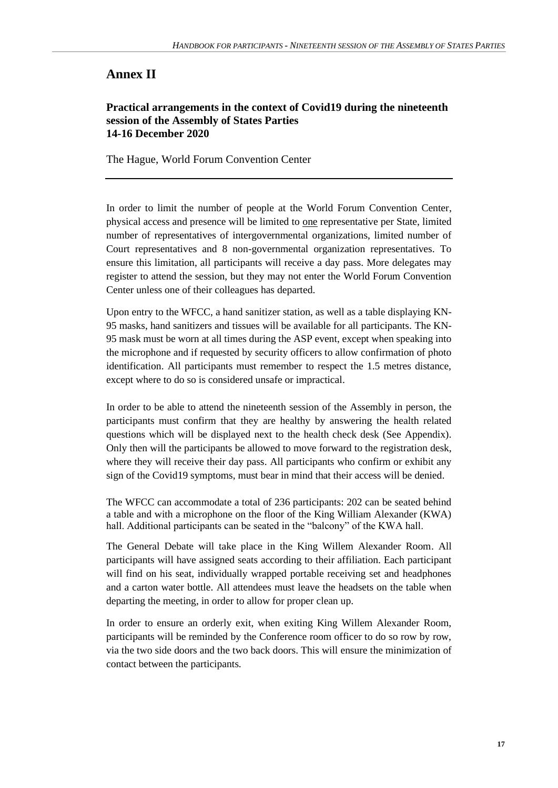# **Annex II**

#### **Practical arrangements in the context of Covid19 during the nineteenth session of the Assembly of States Parties 14-16 December 2020**

The Hague, World Forum Convention Center

In order to limit the number of people at the World Forum Convention Center, physical access and presence will be limited to one representative per State, limited number of representatives of intergovernmental organizations, limited number of Court representatives and 8 non-governmental organization representatives. To ensure this limitation, all participants will receive a day pass. More delegates may register to attend the session, but they may not enter the World Forum Convention Center unless one of their colleagues has departed.

Upon entry to the WFCC, a hand sanitizer station, as well as a table displaying KN-95 masks, hand sanitizers and tissues will be available for all participants. The KN-95 mask must be worn at all times during the ASP event, except when speaking into the microphone and if requested by security officers to allow confirmation of photo identification. All participants must remember to respect the 1.5 metres distance, except where to do so is considered unsafe or impractical.

In order to be able to attend the nineteenth session of the Assembly in person, the participants must confirm that they are healthy by answering the health related questions which will be displayed next to the health check desk (See Appendix). Only then will the participants be allowed to move forward to the registration desk, where they will receive their day pass. All participants who confirm or exhibit any sign of the Covid19 symptoms, must bear in mind that their access will be denied.

The WFCC can accommodate a total of 236 participants: 202 can be seated behind a table and with a microphone on the floor of the King William Alexander (KWA) hall. Additional participants can be seated in the "balcony" of the KWA hall.

The General Debate will take place in the King Willem Alexander Room. All participants will have assigned seats according to their affiliation. Each participant will find on his seat, individually wrapped portable receiving set and headphones and a carton water bottle. All attendees must leave the headsets on the table when departing the meeting, in order to allow for proper clean up.

In order to ensure an orderly exit, when exiting King Willem Alexander Room, participants will be reminded by the Conference room officer to do so row by row, via the two side doors and the two back doors. This will ensure the minimization of contact between the participants.